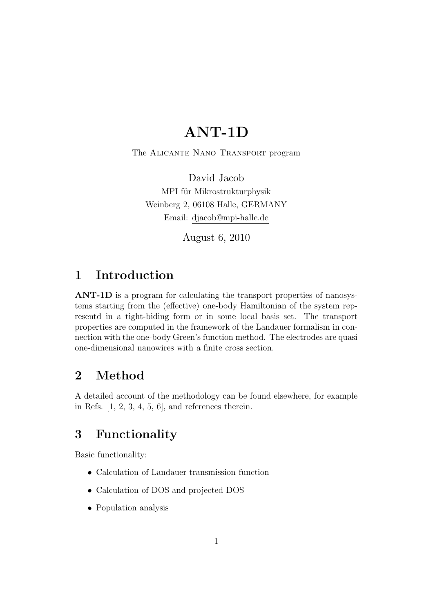# ANT-1D

The Alicante Nano Transport program

David Jacob MPI für Mikrostrukturphysik Weinberg 2, 06108 Halle, GERMANY Email: djacob@mpi-halle.de

August 6, 2010

## 1 Introduction

ANT-1D is a program for calculating the transport properties of nanosystems starting from the (effective) one-body Hamiltonian of the system representd in a tight-biding form or in some local basis set. The transport properties are computed in the framework of the Landauer formalism in connection with the one-body Green's function method. The electrodes are quasi one-dimensional nanowires with a finite cross section.

## 2 Method

A detailed account of the methodology can be found elsewhere, for example in Refs.  $[1, 2, 3, 4, 5, 6]$ , and references therein.

## 3 Functionality

Basic functionality:

- Calculation of Landauer transmission function
- Calculation of DOS and projected DOS
- Population analysis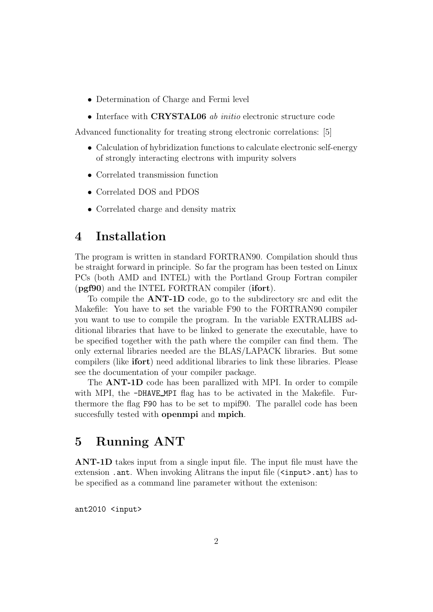- Determination of Charge and Fermi level
- Interface with **CRYSTAL06** *ab initio* electronic structure code

Advanced functionality for treating strong electronic correlations: [5]

- Calculation of hybridization functions to calculate electronic self-energy of strongly interacting electrons with impurity solvers
- Correlated transmission function
- Correlated DOS and PDOS
- Correlated charge and density matrix

## 4 Installation

The program is written in standard FORTRAN90. Compilation should thus be straight forward in principle. So far the program has been tested on Linux PCs (both AMD and INTEL) with the Portland Group Fortran compiler (pgf90) and the INTEL FORTRAN compiler (ifort).

To compile the ANT-1D code, go to the subdirectory src and edit the Makefile: You have to set the variable F90 to the FORTRAN90 compiler you want to use to compile the program. In the variable EXTRALIBS additional libraries that have to be linked to generate the executable, have to be specified together with the path where the compiler can find them. The only external libraries needed are the BLAS/LAPACK libraries. But some compilers (like ifort) need additional libraries to link these libraries. Please see the documentation of your compiler package.

The ANT-1D code has been parallized with MPI. In order to compile with MPI, the -DHAVE\_MPI flag has to be activated in the Makefile. Furthermore the flag F90 has to be set to mpif90. The parallel code has been succesfully tested with **openmpi** and **mpich**.

## 5 Running ANT

ANT-1D takes input from a single input file. The input file must have the extension . ant. When invoking Alitrans the input file (<input>. ant) has to be specified as a command line parameter without the extenison:

ant2010 <input>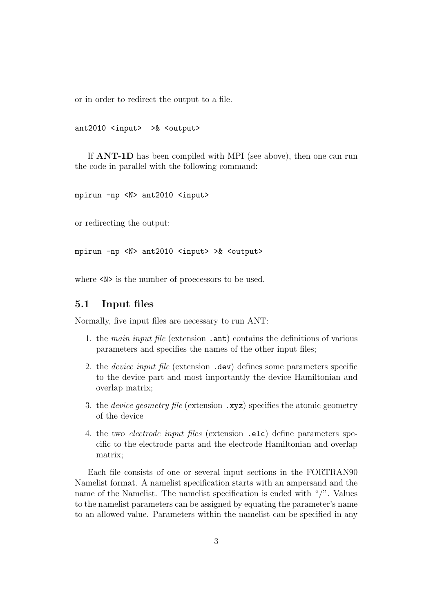or in order to redirect the output to a file.

ant2010 <input> >& <output>

If ANT-1D has been compiled with MPI (see above), then one can run the code in parallel with the following command:

mpirun -np <N> ant2010 <input>

or redirecting the output:

mpirun -np <N> ant2010 <input> >& <output>

where  $\langle N \rangle$  is the number of proecessors to be used.

## 5.1 Input files

Normally, five input files are necessary to run ANT:

- 1. the main input file (extension .ant) contains the definitions of various parameters and specifies the names of the other input files;
- 2. the *device input file* (extension .dev) defines some parameters specific to the device part and most importantly the device Hamiltonian and overlap matrix;
- 3. the device geometry file (extension .xyz) specifies the atomic geometry of the device
- 4. the two electrode input files (extension .elc) define parameters specific to the electrode parts and the electrode Hamiltonian and overlap matrix;

Each file consists of one or several input sections in the FORTRAN90 Namelist format. A namelist specification starts with an ampersand and the name of the Namelist. The namelist specification is ended with "/". Values to the namelist parameters can be assigned by equating the parameter's name to an allowed value. Parameters within the namelist can be specified in any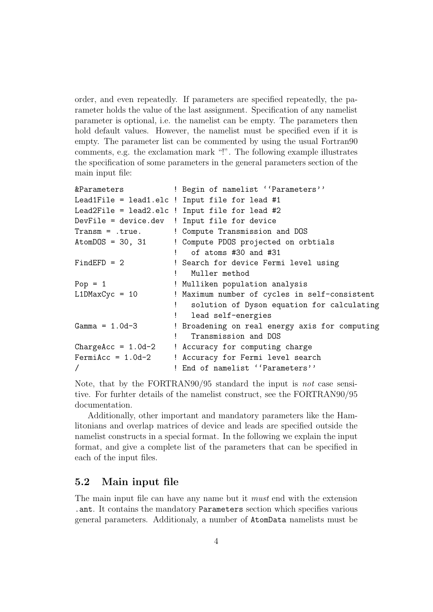order, and even repeatedly. If parameters are specified repeatedly, the parameter holds the value of the last assignment. Specification of any namelist parameter is optional, i.e. the namelist can be empty. The parameters then hold default values. However, the namelist must be specified even if it is empty. The parameter list can be commented by using the usual Fortran90 comments, e.g. the exclamation mark "!". The following example illustrates the specification of some parameters in the general parameters section of the main input file:

| &Parameters                   |  | ! Begin of namelist ''Parameters''             |  |
|-------------------------------|--|------------------------------------------------|--|
|                               |  | Lead1File = lead1.elc ! Input file for lead #1 |  |
|                               |  | Lead2File = lead2.elc ! Input file for lead #2 |  |
|                               |  | DevFile = device.dev ! Input file for device   |  |
| $Transm = .true.$             |  | ! Compute Transmission and DOS                 |  |
| $\text{AtomDOS} = 30, 31$     |  | ! Compute PDOS projected on orbtials           |  |
|                               |  | of atoms #30 and #31                           |  |
| $FindEFD = 2$                 |  | ! Search for device Fermi level using          |  |
|                               |  | Muller method                                  |  |
| $Pop = 1$                     |  | ! Mulliken population analysis                 |  |
| $L1DMaxCyc = 10$              |  | ! Maximum number of cycles in self-consistent  |  |
|                               |  | solution of Dyson equation for calculating     |  |
|                               |  | lead self-energies                             |  |
| $Gamma = 1.0d-3$              |  | ! Broadening on real energy axis for computing |  |
|                               |  | Transmission and DOS                           |  |
| $\texttt{ChangeAcc} = 1.0d-2$ |  | ! Accuracy for computing charge                |  |
| $FermiAcc = 1.0d-2$           |  | ! Accuracy for Fermi level search              |  |
|                               |  | ! End of namelist ''Parameters''               |  |
|                               |  |                                                |  |

Note, that by the FORTRAN90/95 standard the input is *not* case sensitive. For furhter details of the namelist construct, see the FORTRAN90/95 documentation.

Additionally, other important and mandatory parameters like the Hamlitonians and overlap matrices of device and leads are specified outside the namelist constructs in a special format. In the following we explain the input format, and give a complete list of the parameters that can be specified in each of the input files.

## 5.2 Main input file

The main input file can have any name but it must end with the extension .ant. It contains the mandatory Parameters section which specifies various general parameters. Additionaly, a number of AtomData namelists must be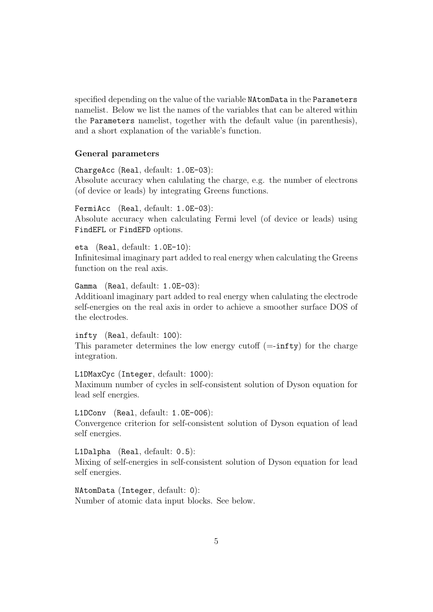specified depending on the value of the variable NAtomData in the Parameters namelist. Below we list the names of the variables that can be altered within the Parameters namelist, together with the default value (in parenthesis), and a short explanation of the variable's function.

#### General parameters

ChargeAcc (Real, default: 1.0E-03): Absolute accuracy when calulating the charge, e.g. the number of electrons (of device or leads) by integrating Greens functions.

FermiAcc (Real, default: 1.0E-03): Absolute accuracy when calculating Fermi level (of device or leads) using FindEFL or FindEFD options.

eta (Real, default: 1.0E-10): Infinitesimal imaginary part added to real energy when calculating the Greens function on the real axis.

Gamma (Real, default: 1.0E-03):

Additioanl imaginary part added to real energy when calulating the electrode self-energies on the real axis in order to achieve a smoother surface DOS of the electrodes.

infty (Real, default: 100):

self energies.

This parameter determines the low energy cutoff  $(=\text{intty})$  for the charge integration.

L1DMaxCyc (Integer, default: 1000): Maximum number of cycles in self-consistent solution of Dyson equation for lead self energies.

L1DConv (Real, default: 1.0E-006): Convergence criterion for self-consistent solution of Dyson equation of lead

L1Dalpha (Real, default: 0.5):

Mixing of self-energies in self-consistent solution of Dyson equation for lead self energies.

NAtomData (Integer, default: 0): Number of atomic data input blocks. See below.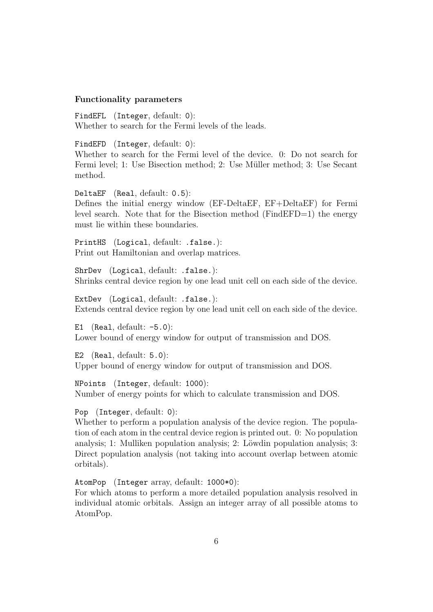#### Functionality parameters

FindEFL (Integer, default: 0): Whether to search for the Fermi levels of the leads.

FindEFD (Integer, default: 0):

Whether to search for the Fermi level of the device. 0: Do not search for Fermi level; 1: Use Bisection method; 2: Use Müller method; 3: Use Secant method.

DeltaEF (Real, default: 0.5):

Defines the initial energy window (EF-DeltaEF, EF+DeltaEF) for Fermi level search. Note that for the Bisection method (FindEFD=1) the energy must lie within these boundaries.

PrintHS (Logical, default: .false.): Print out Hamiltonian and overlap matrices.

ShrDev (Logical, default: .false.): Shrinks central device region by one lead unit cell on each side of the device.

ExtDev (Logical, default: .false.): Extends central device region by one lead unit cell on each side of the device.

E1 (Real, default:  $-5.0$ ): Lower bound of energy window for output of transmission and DOS.

E2 (Real, default: 5.0): Upper bound of energy window for output of transmission and DOS.

NPoints (Integer, default: 1000): Number of energy points for which to calculate transmission and DOS.

Pop (Integer, default: 0):

Whether to perform a population analysis of the device region. The population of each atom in the central device region is printed out. 0: No population analysis; 1: Mulliken population analysis; 2: Löwdin population analysis; 3: Direct population analysis (not taking into account overlap between atomic orbitals).

AtomPop (Integer array, default: 1000\*0): For which atoms to perform a more detailed population analysis resolved in individual atomic orbitals. Assign an integer array of all possible atoms to AtomPop.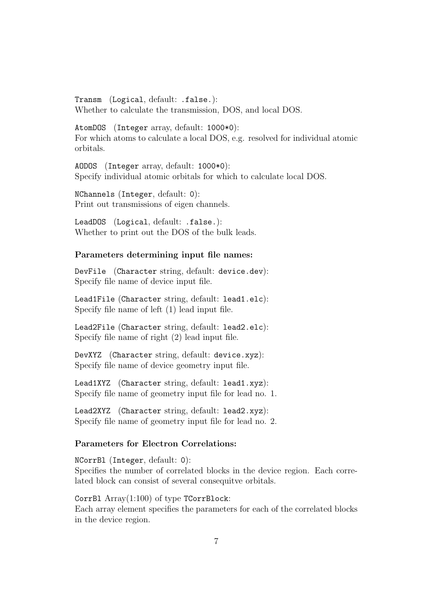Transm (Logical, default: .false.): Whether to calculate the transmission, DOS, and local DOS.

AtomDOS (Integer array, default: 1000\*0): For which atoms to calculate a local DOS, e.g. resolved for individual atomic orbitals.

AODOS (Integer array, default: 1000\*0): Specify individual atomic orbitals for which to calculate local DOS.

NChannels (Integer, default: 0): Print out transmissions of eigen channels.

LeadDOS (Logical, default: .false.): Whether to print out the DOS of the bulk leads.

#### Parameters determining input file names:

DevFile (Character string, default: device.dev): Specify file name of device input file.

Lead1File (Character string, default: lead1.elc): Specify file name of left (1) lead input file.

Lead2File (Character string, default: lead2.elc): Specify file name of right (2) lead input file.

DevXYZ (Character string, default: device.xyz): Specify file name of device geometry input file.

Lead1XYZ (Character string, default: lead1.xyz): Specify file name of geometry input file for lead no. 1.

Lead2XYZ (Character string, default: lead2.xyz): Specify file name of geometry input file for lead no. 2.

### Parameters for Electron Correlations:

NCorrBl (Integer, default: 0): Specifies the number of correlated blocks in the device region. Each correlated block can consist of several consequitve orbitals.

CorrBl Array(1:100) of type TCorrBlock: Each array element specifies the parameters for each of the correlated blocks in the device region.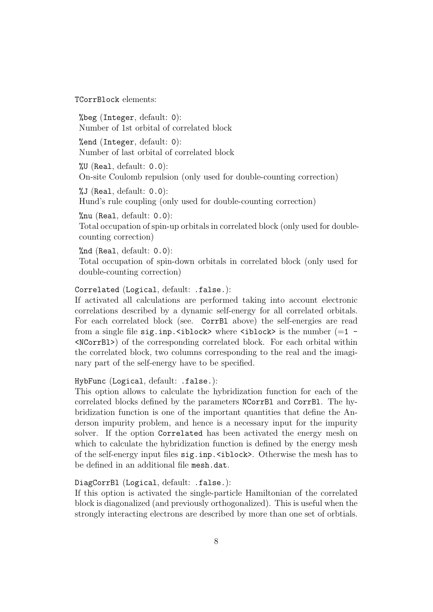TCorrBlock elements:

%beg (Integer, default: 0): Number of 1st orbital of correlated block

%end (Integer, default: 0): Number of last orbital of correlated block

 $\%$ U (Real, default: 0.0): On-site Coulomb repulsion (only used for double-counting correction)

 $\sqrt[6]{J}$  (Real, default: 0.0): Hund's rule coupling (only used for double-counting correction)

%nu (Real, default: 0.0): Total occupation of spin-up orbitals in correlated block (only used for doublecounting correction)

%nd (Real, default: 0.0): Total occupation of spin-down orbitals in correlated block (only used for double-counting correction)

Correlated (Logical, default: .false.):

If activated all calculations are performed taking into account electronic correlations described by a dynamic self-energy for all correlated orbitals. For each correlated block (see. CorrBl above) the self-energies are read from a single file sig.inp.<ibr/>block> where  $\langle$ iblock> is the number (=1 -<NCorrBl>) of the corresponding correlated block. For each orbital within the correlated block, two columns corresponding to the real and the imaginary part of the self-energy have to be specified.

HybFunc (Logical, default: .false.):

This option allows to calculate the hybridization function for each of the correlated blocks defined by the parameters NCorrBl and CorrBl. The hybridization function is one of the important quantities that define the Anderson impurity problem, and hence is a necessary input for the impurity solver. If the option Correlated has been activated the energy mesh on which to calculate the hybridization function is defined by the energy mesh of the self-energy input files sig.inp.<iblock>. Otherwise the mesh has to be defined in an additional file mesh.dat.

DiagCorrBl (Logical, default: .false.):

If this option is activated the single-particle Hamiltonian of the correlated block is diagonalized (and previously orthogonalized). This is useful when the strongly interacting electrons are described by more than one set of orbtials.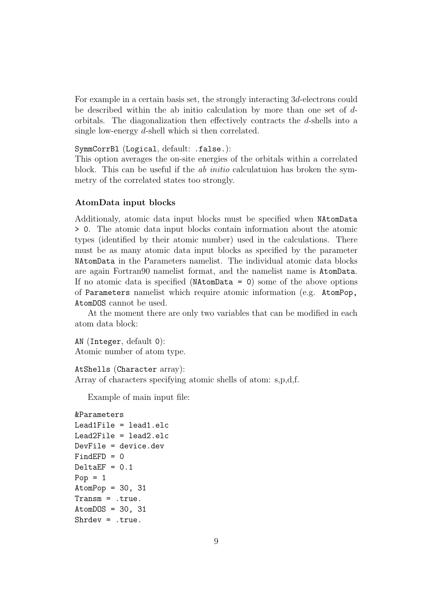For example in a certain basis set, the strongly interacting 3d-electrons could be described within the ab initio calculation by more than one set of dorbitals. The diagonalization then effectively contracts the  $d$ -shells into a single low-energy d-shell which si then correlated.

SymmCorrBl (Logical, default: .false.):

This option averages the on-site energies of the orbitals within a correlated block. This can be useful if the *ab initio* calculatuion has broken the symmetry of the correlated states too strongly.

#### AtomData input blocks

Additionaly, atomic data input blocks must be specified when NAtomData > 0. The atomic data input blocks contain information about the atomic types (identified by their atomic number) used in the calculations. There must be as many atomic data input blocks as specified by the parameter NAtomData in the Parameters namelist. The individual atomic data blocks are again Fortran90 namelist format, and the namelist name is AtomData. If no atomic data is specified (**) some of the above options** of Parameters namelist which require atomic information (e.g. AtomPop, AtomDOS cannot be used.

At the moment there are only two variables that can be modified in each atom data block:

AN (Integer, default 0): Atomic number of atom type.

AtShells (Character array):

Array of characters specifying atomic shells of atom: s,p,d,f.

Example of main input file:

```
&Parameters
Lead1File = lead1.elc
Lead2File = lead2.elc
DevFile = device.dev
FindEFD = 0DeltaEF = 0.1Pop = 1AtomPop = 30, 31Transm = .true.
AtomDOS = 30, 31Shrdev = .true.
```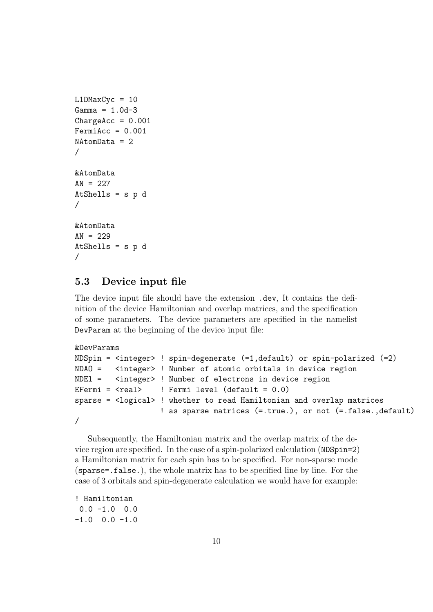```
L1DMaxCyc = 10Gamma = 1.0d - 3ChangeAcc = 0.001FermiAcc = 0.001NAtomData = 2
/
&AtomData
AN = 227AtShells = s p d
/
&AtomData
AN = 229AtShells = s p d
/
```
## 5.3 Device input file

The device input file should have the extension .dev, It contains the definition of the device Hamiltonian and overlap matrices, and the specification of some parameters. The device parameters are specified in the namelist DevParam at the beginning of the device input file:

```
&DevParams
```

```
NDSpin = <integer> ! spin-degenerate (=1,default) or spin-polarized (=2)
NDAO = <integer> ! Number of atomic orbitals in device region
NDEl = <integer> ! Number of electrons in device region
EFermi = \langle \text{real} \rangle ! Fermi level (default = 0.0)
sparse = <logical> ! whether to read Hamiltonian and overlap matrices
                    ! as sparse matrices (=.true.), or not (=.false.,default)
/
```
Subsequently, the Hamiltonian matrix and the overlap matrix of the device region are specified. In the case of a spin-polarized calculation (NDSpin=2) a Hamiltonian matrix for each spin has to be specified. For non-sparse mode (sparse=.false.), the whole matrix has to be specified line by line. For the case of 3 orbitals and spin-degenerate calculation we would have for example:

```
! Hamiltonian
0.0 - 1.0 0.0-1.0 0.0 -1.0
```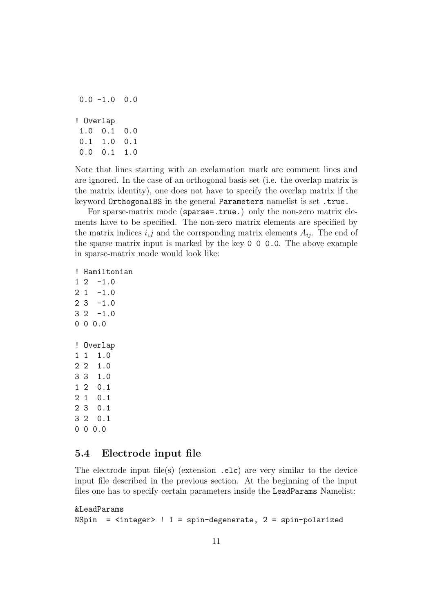|           | 0.0 -1.0     | 0.0 |
|-----------|--------------|-----|
| ! Overlap |              |     |
|           | $1.0 \t 0.1$ | 0.0 |
| 0.1       | 1.0          | 0.1 |
| 0.0       | 0.1          | 1.0 |

Note that lines starting with an exclamation mark are comment lines and are ignored. In the case of an orthogonal basis set (i.e. the overlap matrix is the matrix identity), one does not have to specify the overlap matrix if the keyword OrthogonalBS in the general Parameters namelist is set .true.

For sparse-matrix mode (sparse=.true.) only the non-zero matrix elements have to be specified. The non-zero matrix elements are specified by the matrix indices  $i, j$  and the corrsponding matrix elements  $A_{ij}$ . The end of the sparse matrix input is marked by the key 0 0 0.0. The above example in sparse-matrix mode would look like:

! Hamiltonian

 $1 \t2 \t -1.0$  $2 \t1 \t -1.0$  $2 \times 3 -1.0$  $3 \t2 \t -1.0$ 0 0 0.0 ! Overlap  $1 \t1 \t1.0$ 2 2 1.0 3 3 1.0 1 2 0.1 2 1 0.1 2 3 0.1 3 2 0.1 0 0 0.0

### 5.4 Electrode input file

The electrode input file(s) (extension  $.$ elc) are very similar to the device input file described in the previous section. At the beginning of the input files one has to specify certain parameters inside the LeadParams Namelist:

&LeadParams

```
NSpin = <i>intercept</i> ! 1 = spin-degenerate, 2 = spin-polarized
```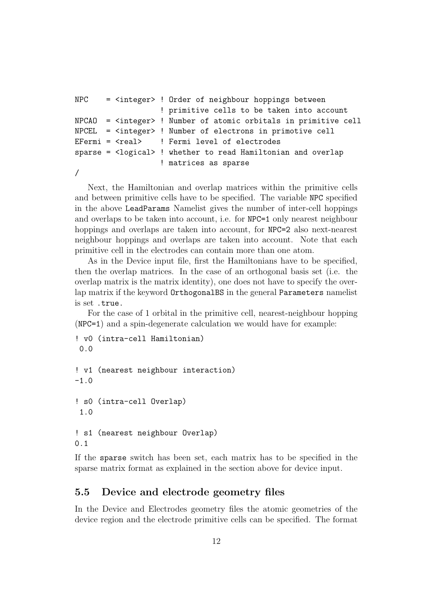```
NPC = <integer> ! Order of neighbour hoppings between
                   ! primitive cells to be taken into account
NPCAO = <integer> ! Number of atomic orbitals in primitive cell
NPCEL = <integer> ! Number of electrons in primotive cell
EFermi = <real> ! Fermi level of electrodes
sparse = <logical> ! whether to read Hamiltonian and overlap
                   ! matrices as sparse
```
/

Next, the Hamiltonian and overlap matrices within the primitive cells and between primitive cells have to be specified. The variable NPC specified in the above LeadParams Namelist gives the number of inter-cell hoppings and overlaps to be taken into account, i.e. for NPC=1 only nearest neighbour hoppings and overlaps are taken into account, for NPC=2 also next-nearest neighbour hoppings and overlaps are taken into account. Note that each primitive cell in the electrodes can contain more than one atom.

As in the Device input file, first the Hamiltonians have to be specified, then the overlap matrices. In the case of an orthogonal basis set (i.e. the overlap matrix is the matrix identity), one does not have to specify the overlap matrix if the keyword OrthogonalBS in the general Parameters namelist is set .true.

For the case of 1 orbital in the primitive cell, nearest-neighbour hopping (NPC=1) and a spin-degenerate calculation we would have for example:

```
! v0 (intra-cell Hamiltonian)
0.0
! v1 (nearest neighbour interaction)
-1.0! s0 (intra-cell Overlap)
 1.0
! s1 (nearest neighbour Overlap)
0.1
```
If the sparse switch has been set, each matrix has to be specified in the sparse matrix format as explained in the section above for device input.

## 5.5 Device and electrode geometry files

In the Device and Electrodes geometry files the atomic geometries of the device region and the electrode primitive cells can be specified. The format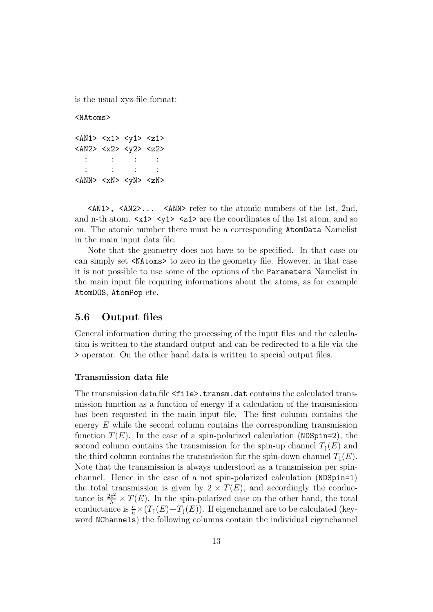is the usual xyz-file format:

<NAtoms>

```
<AN1> <x1> <y1> <z1>
<AN2> <x2> <y2> <z2>
 : : : :
 : : : :
<ANN> <xN> <yN> <zN>
```
<AN1>, <AN2>... <ANN> refer to the atomic numbers of the 1st, 2nd, and n-th atom.  $\langle x1 \rangle$   $\langle y1 \rangle$   $\langle z1 \rangle$  are the coordinates of the 1st atom, and so on. The atomic number there must be a corresponding AtomData Namelist in the main input data file.

Note that the geometry does not have to be specified. In that case on can simply set <NAtoms> to zero in the geometry file. However, in that case it is not possible to use some of the options of the Parameters Namelist in the main input file requiring informations about the atoms, as for example AtomDOS, AtomPop etc.

### 5.6 Output files

General information during the processing of the input files and the calculation is written to the standard output and can be redirected to a file via the > operator. On the other hand data is written to special output files.

#### Transmission data file

The transmission data file <file>.transm.dat contains the calculated transmission function as a function of energy if a calculation of the transmission has been requested in the main input file. The first column contains the energy  $E$  while the second column contains the corresponding transmission function  $T(E)$ . In the case of a spin-polarized calculation (NDSpin=2), the second column contains the transmission for the spin-up channel  $T<sub>1</sub>(E)$  and the third column contains the transmission for the spin-down channel  $T_1(E)$ . Note that the transmission is always understood as a transmission per spinchannel. Hence in the case of a not spin-polarized calculation (NDSpin=1) the total transmission is given by  $2 \times T(E)$ , and accordingly the conductance is  $\frac{2e^2}{h} \times T(E)$ . In the spin-polarized case on the other hand, the total conductance is  $\frac{e}{h} \times (T_1(E) + T_1(E))$ . If eigenchannel are to be calculated (keyword NChannels) the following columns contain the individual eigenchannel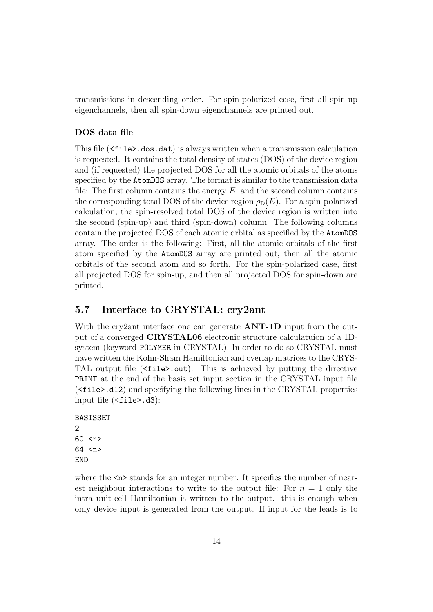transmissions in descending order. For spin-polarized case, first all spin-up eigenchannels, then all spin-down eigenchannels are printed out.

### DOS data file

This file (<file>.dos.dat) is always written when a transmission calculation is requested. It contains the total density of states (DOS) of the device region and (if requested) the projected DOS for all the atomic orbitals of the atoms specified by the AtomDOS array. The format is similar to the transmission data file: The first column contains the energy  $E$ , and the second column contains the corresponding total DOS of the device region  $\rho_D(E)$ . For a spin-polarized calculation, the spin-resolved total DOS of the device region is written into the second (spin-up) and third (spin-down) column. The following columns contain the projected DOS of each atomic orbital as specified by the AtomDOS array. The order is the following: First, all the atomic orbitals of the first atom specified by the AtomDOS array are printed out, then all the atomic orbitals of the second atom and so forth. For the spin-polarized case, first all projected DOS for spin-up, and then all projected DOS for spin-down are printed.

### 5.7 Interface to CRYSTAL: cry2ant

With the cry2ant interface one can generate  $\bf ANT-1D$  input from the output of a converged CRYSTAL06 electronic structure calculatuion of a 1Dsystem (keyword POLYMER in CRYSTAL). In order to do so CRYSTAL must have written the Kohn-Sham Hamiltonian and overlap matrices to the CRYS-TAL output file (<file>.out). This is achieved by putting the directive PRINT at the end of the basis set input section in the CRYSTAL input file (<file>.d12) and specifying the following lines in the CRYSTAL properties input file (<file>.d3):

BASISSET 2 60 <n> 64 <n> END

where the  $\langle n \rangle$  stands for an integer number. It specifies the number of nearest neighbour interactions to write to the output file: For  $n = 1$  only the intra unit-cell Hamiltonian is written to the output. this is enough when only device input is generated from the output. If input for the leads is to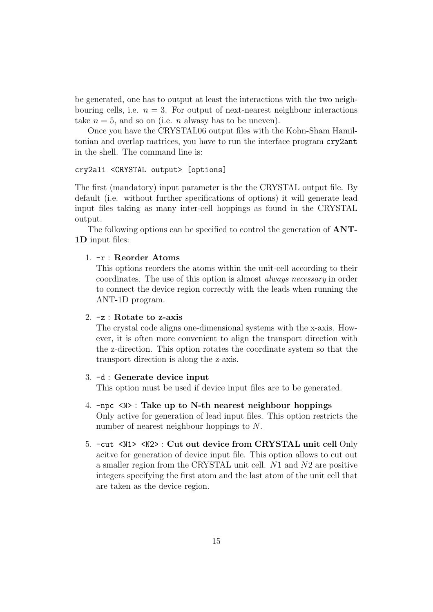be generated, one has to output at least the interactions with the two neighbouring cells, i.e.  $n = 3$ . For output of next-nearest neighbour interactions take  $n = 5$ , and so on (i.e. *n* alwasy has to be uneven).

Once you have the CRYSTAL06 output files with the Kohn-Sham Hamiltonian and overlap matrices, you have to run the interface program cry2ant in the shell. The command line is:

#### cry2ali <CRYSTAL output> [options]

The first (mandatory) input parameter is the the CRYSTAL output file. By default (i.e. without further specifications of options) it will generate lead input files taking as many inter-cell hoppings as found in the CRYSTAL output.

The following options can be specified to control the generation of ANT-1D input files:

#### 1. -r : Reorder Atoms

This options reorders the atoms within the unit-cell according to their coordinates. The use of this option is almost always necessary in order to connect the device region correctly with the leads when running the ANT-1D program.

#### 2. -z : Rotate to z-axis

The crystal code aligns one-dimensional systems with the x-axis. However, it is often more convenient to align the transport direction with the z-direction. This option rotates the coordinate system so that the transport direction is along the z-axis.

#### 3. -d : Generate device input

This option must be used if device input files are to be generated.

- 4. -npc <N> : Take up to N-th nearest neighbour hoppings Only active for generation of lead input files. This option restricts the number of nearest neighbour hoppings to N.
- 5. -cut <N1> <N2> : Cut out device from CRYSTAL unit cell Only acitve for generation of device input file. This option allows to cut out a smaller region from the CRYSTAL unit cell. N1 and N2 are positive integers specifying the first atom and the last atom of the unit cell that are taken as the device region.